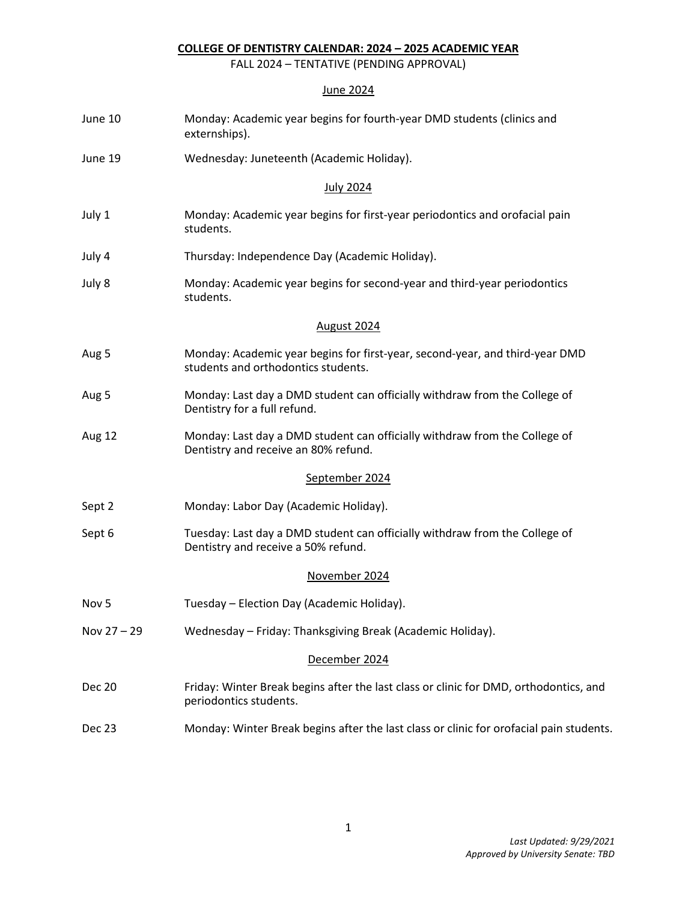## **COLLEGE OF DENTISTRY CALENDAR: 2024 – 2025 ACADEMIC YEAR**

FALL 2024 – TENTATIVE (PENDING APPROVAL)

## June 2024

| June 10          | Monday: Academic year begins for fourth-year DMD students (clinics and<br>externships).                             |
|------------------|---------------------------------------------------------------------------------------------------------------------|
| June 19          | Wednesday: Juneteenth (Academic Holiday).                                                                           |
|                  | <b>July 2024</b>                                                                                                    |
| July 1           | Monday: Academic year begins for first-year periodontics and orofacial pain<br>students.                            |
| July 4           | Thursday: Independence Day (Academic Holiday).                                                                      |
| July 8           | Monday: Academic year begins for second-year and third-year periodontics<br>students.                               |
|                  | August 2024                                                                                                         |
| Aug 5            | Monday: Academic year begins for first-year, second-year, and third-year DMD<br>students and orthodontics students. |
| Aug 5            | Monday: Last day a DMD student can officially withdraw from the College of<br>Dentistry for a full refund.          |
| Aug 12           | Monday: Last day a DMD student can officially withdraw from the College of<br>Dentistry and receive an 80% refund.  |
|                  | September 2024                                                                                                      |
| Sept 2           | Monday: Labor Day (Academic Holiday).                                                                               |
| Sept 6           | Tuesday: Last day a DMD student can officially withdraw from the College of<br>Dentistry and receive a 50% refund.  |
|                  | November 2024                                                                                                       |
| Nov <sub>5</sub> | Tuesday - Election Day (Academic Holiday).                                                                          |
| Nov 27 - 29      | Wednesday - Friday: Thanksgiving Break (Academic Holiday).                                                          |
|                  | December 2024                                                                                                       |
| <b>Dec 20</b>    | Friday: Winter Break begins after the last class or clinic for DMD, orthodontics, and<br>periodontics students.     |
| Dec 23           | Monday: Winter Break begins after the last class or clinic for orofacial pain students.                             |